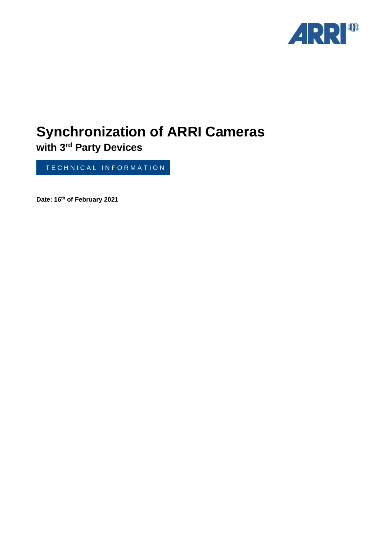

# **Synchronization of ARRI Cameras**

**with 3rd Party Devices**

TE CHNICAL INFORMATION

**Date: 16th of February 2021**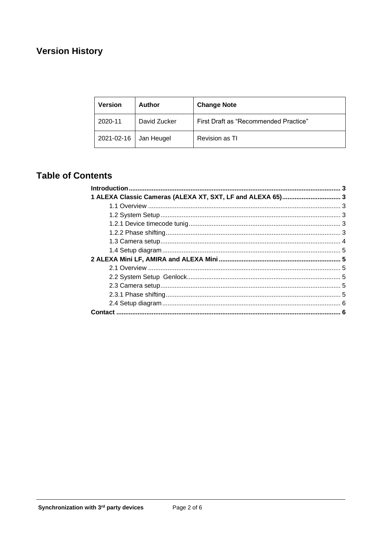# **Version History**

| <b>Version</b> | <b>Author</b> | <b>Change Note</b>                    |  |
|----------------|---------------|---------------------------------------|--|
| 2020-11        | David Zucker  | First Draft as "Recommended Practice" |  |
| 2021-02-16     | Jan Heugel    | Revision as TI                        |  |

## **Table of Contents**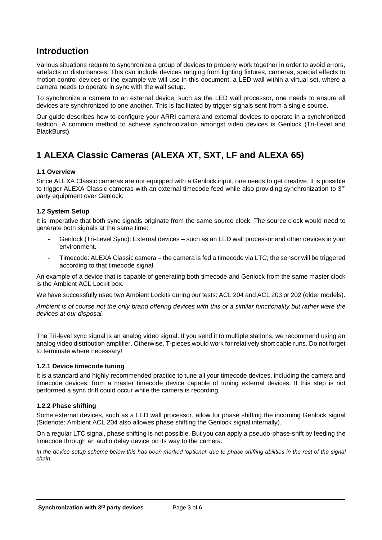## **Introduction**

Various situations require to synchronize a group of devices to properly work together in order to avoid errors, artefacts or disturbances. This can include devices ranging from lighting fixtures, cameras, special effects to motion control devices or the example we will use in this document: a LED wall within a virtual set, where a camera needs to operate in sync with the wall setup.

To synchronize a camera to an external device, such as the LED wall processor, one needs to ensure all devices are synchronized to one another. This is facilitated by trigger signals sent from a single source.

Our guide describes how to configure your ARRI camera and external devices to operate in a synchronized fashion. A common method to achieve synchronization amongst video devices is Genlock (Tri-Level and BlackBurst).

## **1 ALEXA Classic Cameras (ALEXA XT, SXT, LF and ALEXA 65)**

#### **1.1 Overview**

Since ALEXA Classic cameras are not equipped with a Genlock input, one needs to get creative. It is possible to trigger ALEXA Classic cameras with an external timecode feed while also providing synchronization to 3<sup>rd</sup> party equipment over Genlock.

#### **1.2 System Setup**

It is imperative that both sync signals originate from the same source clock. The source clock would need to generate both signals at the same time:

- Genlock (Tri-Level Sync): External devices such as an LED wall processor and other devices in your environment.
- Timecode: ALEXA Classic camera the camera is fed a timecode via LTC; the sensor will be triggered according to that timecode signal.

An example of a device that is capable of generating both timecode and Genlock from the same master clock is the Ambient ACL Lockit box.

We have successfully used two Ambient Lockits during our tests: ACL 204 and ACL 203 or 202 (older models).

*Ambient is of course not the only brand offering devices with this or a similar functionality but rather were the devices at our disposal.*

The Tri-level sync signal is an analog video signal. If you send it to multiple stations, we recommend using an analog video distribution amplifier. Otherwise, T-pieces would work for relatively short cable runs. Do not forget to terminate where necessary!

#### **1.2.1 Device timecode tuning**

It is a standard and highly recommended practice to tune all your timecode devices, including the camera and timecode devices, from a master timecode device capable of tuning external devices. If this step is not performed a sync drift could occur while the camera is recording.

#### **1.2.2 Phase shifting**

Some external devices, such as a LED wall processor, allow for phase shifting the incoming Genlock signal (Sidenote: Ambient ACL 204 also allowes phase shifting the Genlock signal internally).

On a regular LTC signal, phase shifting is not possible. But you can apply a pseudo-phase-shift by feeding the timecode through an audio delay device on its way to the camera.

*In the device setup scheme below this has been marked 'optional' due to phase shifting abilities in the rest of the signal chain.*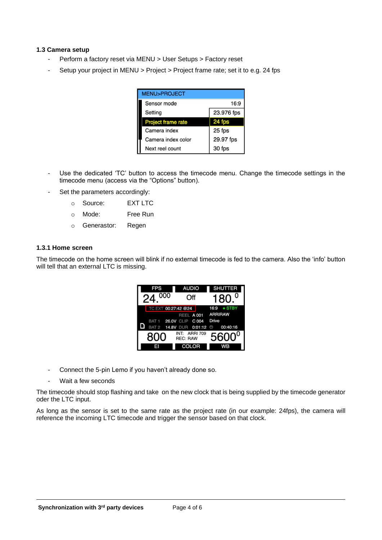#### **1.3 Camera setup**

- Perform a factory reset via MENU > User Setups > Factory reset
- Setup your project in MENU > Project > Project frame rate; set it to e.g. 24 fps

| <b>MENU&gt;PROJECT</b>    |            |  |  |  |  |
|---------------------------|------------|--|--|--|--|
| Sensor mode               | 16:9       |  |  |  |  |
| Setting                   | 23.976 fps |  |  |  |  |
| <b>Project frame rate</b> | 24 fps     |  |  |  |  |
| Camera index              | 25 fps     |  |  |  |  |
| Camera index color        | 29.97 fps  |  |  |  |  |
| Next reel count           | 30 fps     |  |  |  |  |

- Use the dedicated 'TC' button to access the timecode menu. Change the timecode settings in the timecode menu (access via the "Options" button).
- Set the parameters accordingly:
	- o Source: EXT LTC
	- o Mode: Free Run
	- o Generastor: Regen

#### **1.3.1 Home screen**

The timecode on the home screen will blink if no external timecode is fed to the camera. Also the 'info' button will tell that an external LTC is missing.

| <b>FPS</b><br>000 |                     |                                  | <b>AUDIO</b><br>Off |                | <b>SHUTTER</b><br>180 |  |
|-------------------|---------------------|----------------------------------|---------------------|----------------|-----------------------|--|
|                   | TC EXT 00:27:42 @24 |                                  |                     | 16:9           | $\bullet$ STBY        |  |
|                   |                     |                                  | REEL A 001          |                | <b>ARRIRAW</b>        |  |
|                   | BAT 1 26.0V CLIP    |                                  | C 004               | Drive          |                       |  |
|                   | BAT <sub>2</sub>    | 14.8V DUR 0:01:12                |                     | $\odot$        | 00:40:16              |  |
| 800               |                     | INT: ARRI 709<br><b>REC: RAW</b> |                     | $5600^{\circ}$ |                       |  |
|                   |                     | <b>COLOR</b>                     |                     |                |                       |  |

- Connect the 5-pin Lemo if you haven't already done so.
- Wait a few seconds

The timecode should stop flashing and take on the new clock that is being supplied by the timecode generator oder the LTC input.

As long as the sensor is set to the same rate as the project rate (in our example: 24fps), the camera will reference the incoming LTC timecode and trigger the sensor based on that clock.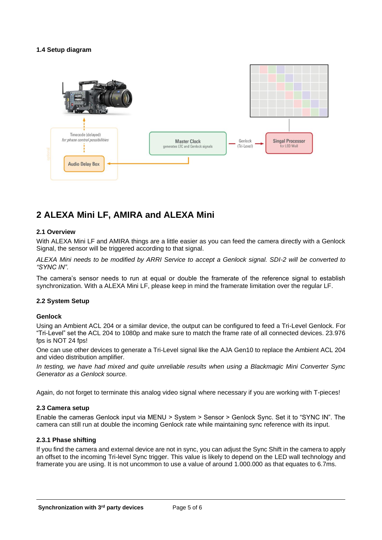#### **1.4 Setup diagram**



## **2 ALEXA Mini LF, AMIRA and ALEXA Mini**

#### **2.1 Overview**

With ALEXA Mini LF and AMIRA things are a little easier as you can feed the camera directly with a Genlock Signal, the sensor will be triggered according to that signal.

*ALEXA Mini needs to be modified by ARRI Service to accept a Genlock signal. SDI-2 will be converted to "SYNC IN".*

The camera's sensor needs to run at equal or double the framerate of the reference signal to establish synchronization. With a ALEXA Mini LF, please keep in mind the framerate limitation over the regular LF.

#### **2.2 System Setup**

#### **Genlock**

Using an Ambient ACL 204 or a similar device, the output can be configured to feed a Tri-Level Genlock. For "Tri-Level" set the ACL 204 to 1080p and make sure to match the frame rate of all connected devices. 23.976 fps is NOT 24 fps!

One can use other devices to generate a Tri-Level signal like the AJA Gen10 to replace the Ambient ACL 204 and video distribution amplifier.

*In testing, we have had mixed and quite unreliable results when using a Blackmagic Mini Converter Sync Generator as a Genlock source.*

Again, do not forget to terminate this analog video signal where necessary if you are working with T-pieces!

#### **2.3 Camera setup**

Enable the cameras Genlock input via MENU > System > Sensor > Genlock Sync. Set it to "SYNC IN". The camera can still run at double the incoming Genlock rate while maintaining sync reference with its input.

#### **2.3.1 Phase shifting**

If you find the camera and external device are not in sync, you can adjust the Sync Shift in the camera to apply an offset to the incoming Tri-level Sync trigger. This value is likely to depend on the LED wall technology and framerate you are using. It is not uncommon to use a value of around 1.000.000 as that equates to 6.7ms.